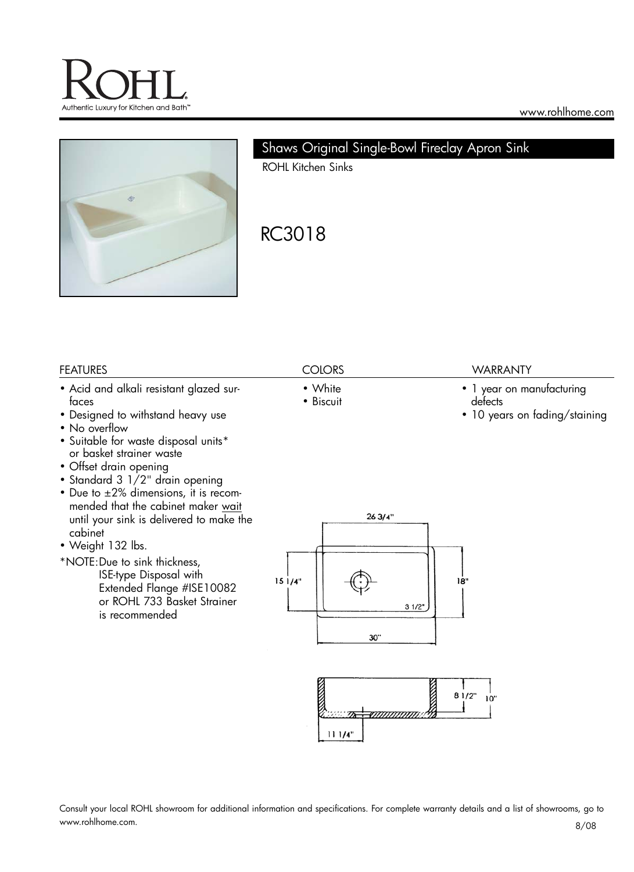



# Shaws Original Single-Bowl Fireclay Apron Sink

ROHL Kitchen Sinks

# RC3018

### FEATURES COLORS WARRANTY

- Acid and alkali resistant glazed surfaces
- Designed to withstand heavy use
- No overflow
- Suitable for waste disposal units\* or basket strainer waste
- Offset drain opening
- Standard 3 1/2" drain opening
- Due to ±2% dimensions, it is recommended that the cabinet maker wait until your sink is delivered to make the cabinet
- Weight 132 lbs.
- \*NOTE:Due to sink thickness, ISE-type Disposal with Extended Flange #ISE10082 or ROHL 733 Basket Strainer is recommended

- White
- Biscuit

- 1 year on manufacturing defects
- 10 years on fading/staining